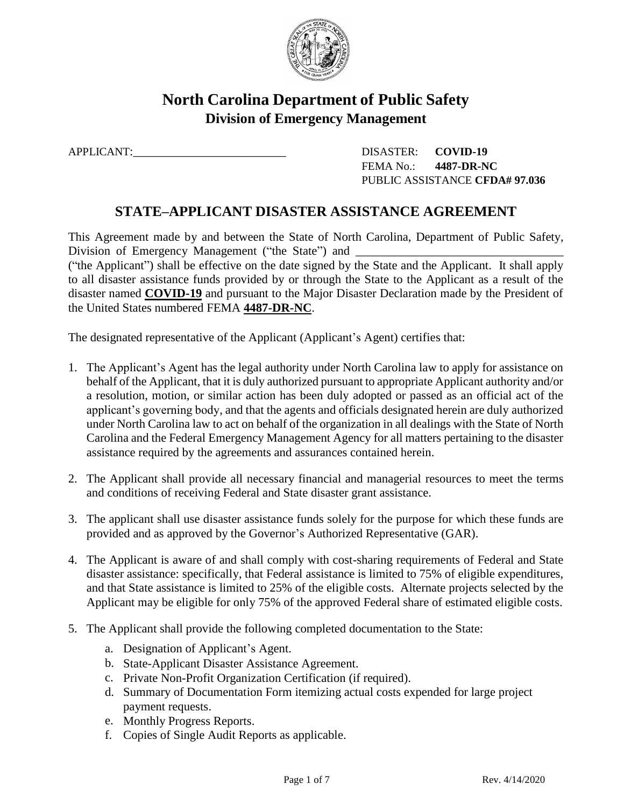

# **North Carolina Department of Public Safety Division of Emergency Management**

APPLICANT:\_\_\_\_\_\_\_\_\_\_\_\_\_\_\_\_\_\_\_\_\_\_\_\_\_ DISASTER: **COVID-19** FEMA No.: **4487-DR-NC** PUBLIC ASSISTANCE **CFDA# 97.036**

## **STATE–APPLICANT DISASTER ASSISTANCE AGREEMENT**

This Agreement made by and between the State of North Carolina, Department of Public Safety, Division of Emergency Management ("the State") and \_\_\_\_\_\_\_\_\_\_\_\_\_\_\_\_\_\_\_\_\_\_\_\_\_\_\_\_\_\_ ("the Applicant") shall be effective on the date signed by the State and the Applicant. It shall apply to all disaster assistance funds provided by or through the State to the Applicant as a result of the disaster named **COVID-19** and pursuant to the Major Disaster Declaration made by the President of the United States numbered FEMA **4487-DR-NC**.

The designated representative of the Applicant (Applicant's Agent) certifies that:

- 1. The Applicant's Agent has the legal authority under North Carolina law to apply for assistance on behalf of the Applicant, that it is duly authorized pursuant to appropriate Applicant authority and/or a resolution, motion, or similar action has been duly adopted or passed as an official act of the applicant's governing body, and that the agents and officials designated herein are duly authorized under North Carolina law to act on behalf of the organization in all dealings with the State of North Carolina and the Federal Emergency Management Agency for all matters pertaining to the disaster assistance required by the agreements and assurances contained herein.
- 2. The Applicant shall provide all necessary financial and managerial resources to meet the terms and conditions of receiving Federal and State disaster grant assistance.
- 3. The applicant shall use disaster assistance funds solely for the purpose for which these funds are provided and as approved by the Governor's Authorized Representative (GAR).
- 4. The Applicant is aware of and shall comply with cost-sharing requirements of Federal and State disaster assistance: specifically, that Federal assistance is limited to 75% of eligible expenditures, and that State assistance is limited to 25% of the eligible costs. Alternate projects selected by the Applicant may be eligible for only 75% of the approved Federal share of estimated eligible costs.
- 5. The Applicant shall provide the following completed documentation to the State:
	- a. Designation of Applicant's Agent.
	- b. State-Applicant Disaster Assistance Agreement.
	- c. Private Non-Profit Organization Certification (if required).
	- d. Summary of Documentation Form itemizing actual costs expended for large project payment requests.
	- e. Monthly Progress Reports.
	- f. Copies of Single Audit Reports as applicable.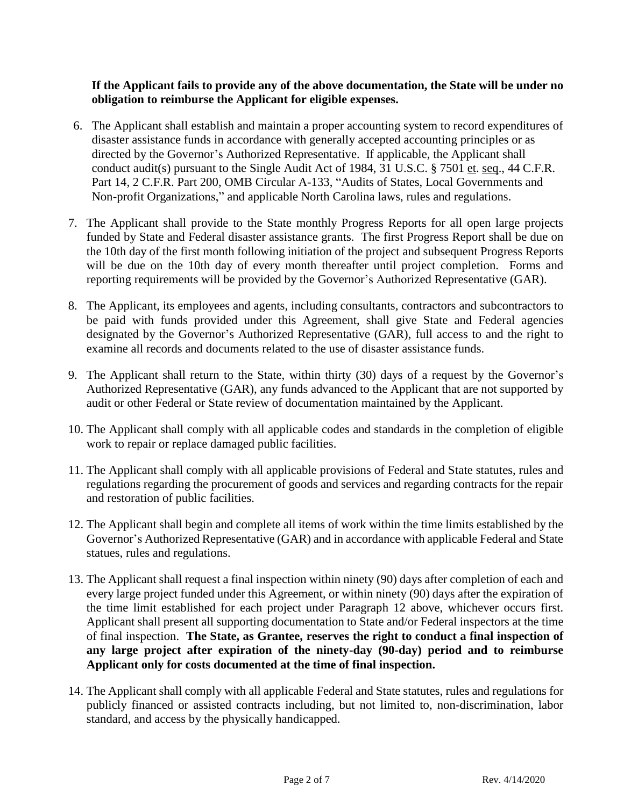#### **If the Applicant fails to provide any of the above documentation, the State will be under no obligation to reimburse the Applicant for eligible expenses.**

- 6. The Applicant shall establish and maintain a proper accounting system to record expenditures of disaster assistance funds in accordance with generally accepted accounting principles or as directed by the Governor's Authorized Representative. If applicable, the Applicant shall conduct audit(s) pursuant to the Single Audit Act of 1984, 31 U.S.C. § 7501 et. seq., 44 C.F.R. Part 14, 2 C.F.R. Part 200, OMB Circular A-133, "Audits of States, Local Governments and Non-profit Organizations," and applicable North Carolina laws, rules and regulations.
- 7. The Applicant shall provide to the State monthly Progress Reports for all open large projects funded by State and Federal disaster assistance grants. The first Progress Report shall be due on the 10th day of the first month following initiation of the project and subsequent Progress Reports will be due on the 10th day of every month thereafter until project completion. Forms and reporting requirements will be provided by the Governor's Authorized Representative (GAR).
- 8. The Applicant, its employees and agents, including consultants, contractors and subcontractors to be paid with funds provided under this Agreement, shall give State and Federal agencies designated by the Governor's Authorized Representative (GAR), full access to and the right to examine all records and documents related to the use of disaster assistance funds.
- 9. The Applicant shall return to the State, within thirty (30) days of a request by the Governor's Authorized Representative (GAR), any funds advanced to the Applicant that are not supported by audit or other Federal or State review of documentation maintained by the Applicant.
- 10. The Applicant shall comply with all applicable codes and standards in the completion of eligible work to repair or replace damaged public facilities.
- 11. The Applicant shall comply with all applicable provisions of Federal and State statutes, rules and regulations regarding the procurement of goods and services and regarding contracts for the repair and restoration of public facilities.
- 12. The Applicant shall begin and complete all items of work within the time limits established by the Governor's Authorized Representative (GAR) and in accordance with applicable Federal and State statues, rules and regulations.
- 13. The Applicant shall request a final inspection within ninety (90) days after completion of each and every large project funded under this Agreement, or within ninety (90) days after the expiration of the time limit established for each project under Paragraph 12 above, whichever occurs first. Applicant shall present all supporting documentation to State and/or Federal inspectors at the time of final inspection. **The State, as Grantee, reserves the right to conduct a final inspection of any large project after expiration of the ninety-day (90-day) period and to reimburse Applicant only for costs documented at the time of final inspection.**
- 14. The Applicant shall comply with all applicable Federal and State statutes, rules and regulations for publicly financed or assisted contracts including, but not limited to, non-discrimination, labor standard, and access by the physically handicapped.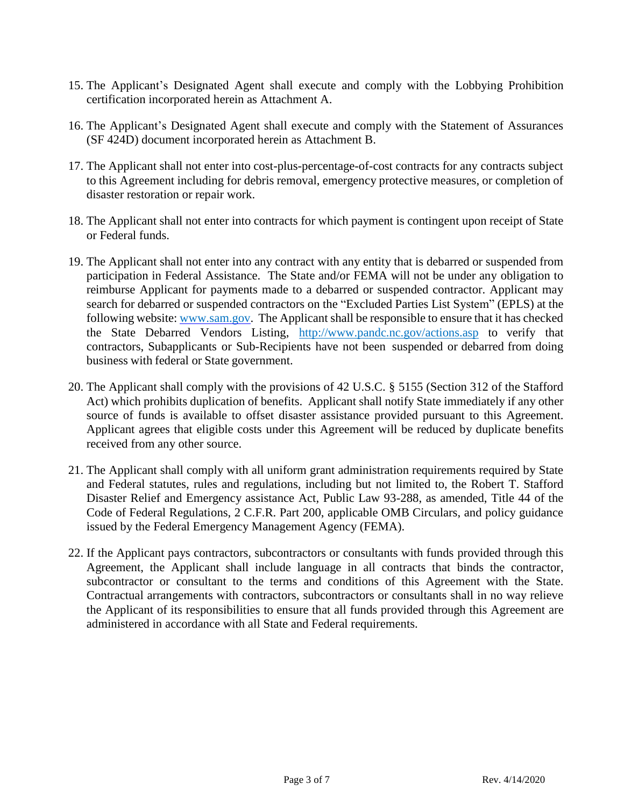- 15. The Applicant's Designated Agent shall execute and comply with the Lobbying Prohibition certification incorporated herein as Attachment A.
- 16. The Applicant's Designated Agent shall execute and comply with the Statement of Assurances (SF 424D) document incorporated herein as Attachment B.
- 17. The Applicant shall not enter into cost-plus-percentage-of-cost contracts for any contracts subject to this Agreement including for debris removal, emergency protective measures, or completion of disaster restoration or repair work.
- 18. The Applicant shall not enter into contracts for which payment is contingent upon receipt of State or Federal funds.
- 19. The Applicant shall not enter into any contract with any entity that is debarred or suspended from participation in Federal Assistance. The State and/or FEMA will not be under any obligation to reimburse Applicant for payments made to a debarred or suspended contractor. Applicant may search for debarred or suspended contractors on the "Excluded Parties List System" (EPLS) at the following website: [www.sam.gov.](http://www.sam.gov/) The Applicant shall be responsible to ensure that it has checked the State Debarred Vendors Listing, <http://www.pandc.nc.gov/actions.asp> to verify that contractors, Subapplicants or Sub-Recipients have not been suspended or debarred from doing business with federal or State government.
- 20. The Applicant shall comply with the provisions of 42 U.S.C. § 5155 (Section 312 of the Stafford Act) which prohibits duplication of benefits. Applicant shall notify State immediately if any other source of funds is available to offset disaster assistance provided pursuant to this Agreement. Applicant agrees that eligible costs under this Agreement will be reduced by duplicate benefits received from any other source.
- 21. The Applicant shall comply with all uniform grant administration requirements required by State and Federal statutes, rules and regulations, including but not limited to, the Robert T. Stafford Disaster Relief and Emergency assistance Act, Public Law 93-288, as amended, Title 44 of the Code of Federal Regulations, 2 C.F.R. Part 200, applicable OMB Circulars, and policy guidance issued by the Federal Emergency Management Agency (FEMA).
- 22. If the Applicant pays contractors, subcontractors or consultants with funds provided through this Agreement, the Applicant shall include language in all contracts that binds the contractor, subcontractor or consultant to the terms and conditions of this Agreement with the State. Contractual arrangements with contractors, subcontractors or consultants shall in no way relieve the Applicant of its responsibilities to ensure that all funds provided through this Agreement are administered in accordance with all State and Federal requirements.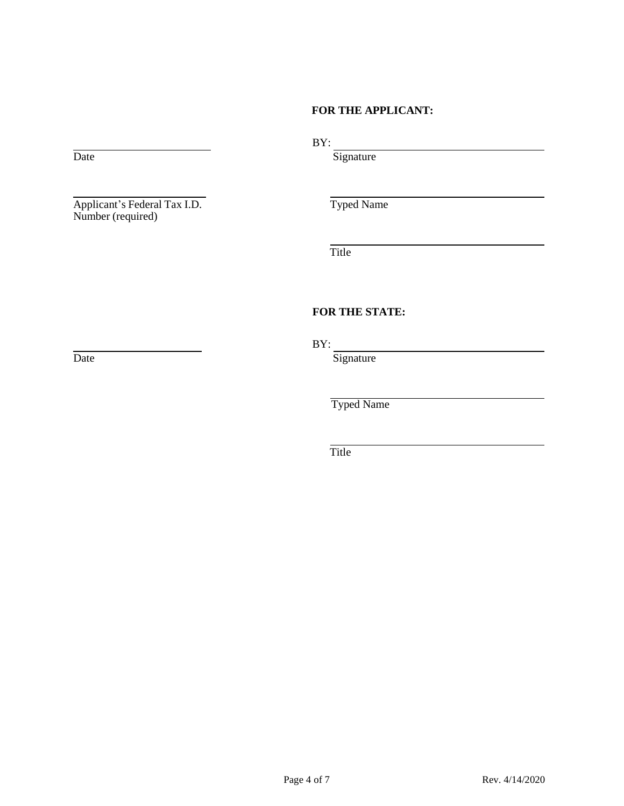#### **FOR THE APPLICANT:**

Applicant's Federal Tax I.D. Typed Name Number (required)

BY:

Date Signature

Title

#### **FOR THE STATE:**

BY:

Date Signature

Typed Name

Title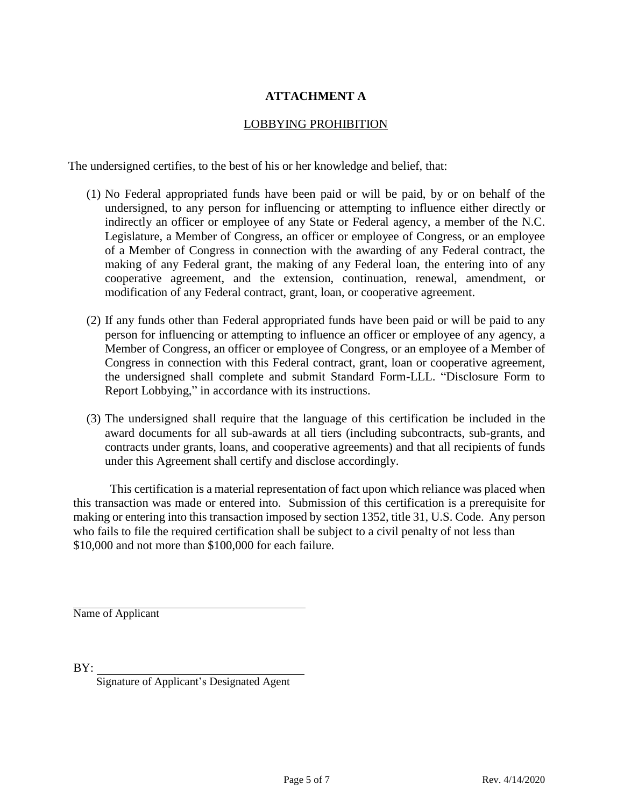### **ATTACHMENT A**

#### LOBBYING PROHIBITION

The undersigned certifies, to the best of his or her knowledge and belief, that:

- (1) No Federal appropriated funds have been paid or will be paid, by or on behalf of the undersigned, to any person for influencing or attempting to influence either directly or indirectly an officer or employee of any State or Federal agency, a member of the N.C. Legislature, a Member of Congress, an officer or employee of Congress, or an employee of a Member of Congress in connection with the awarding of any Federal contract, the making of any Federal grant, the making of any Federal loan, the entering into of any cooperative agreement, and the extension, continuation, renewal, amendment, or modification of any Federal contract, grant, loan, or cooperative agreement.
- (2) If any funds other than Federal appropriated funds have been paid or will be paid to any person for influencing or attempting to influence an officer or employee of any agency, a Member of Congress, an officer or employee of Congress, or an employee of a Member of Congress in connection with this Federal contract, grant, loan or cooperative agreement, the undersigned shall complete and submit Standard Form-LLL. "Disclosure Form to Report Lobbying," in accordance with its instructions.
- (3) The undersigned shall require that the language of this certification be included in the award documents for all sub-awards at all tiers (including subcontracts, sub-grants, and contracts under grants, loans, and cooperative agreements) and that all recipients of funds under this Agreement shall certify and disclose accordingly.

This certification is a material representation of fact upon which reliance was placed when this transaction was made or entered into. Submission of this certification is a prerequisite for making or entering into this transaction imposed by section 1352, title 31, U.S. Code. Any person who fails to file the required certification shall be subject to a civil penalty of not less than \$10,000 and not more than \$100,000 for each failure.

Name of Applicant

BY:

Signature of Applicant's Designated Agent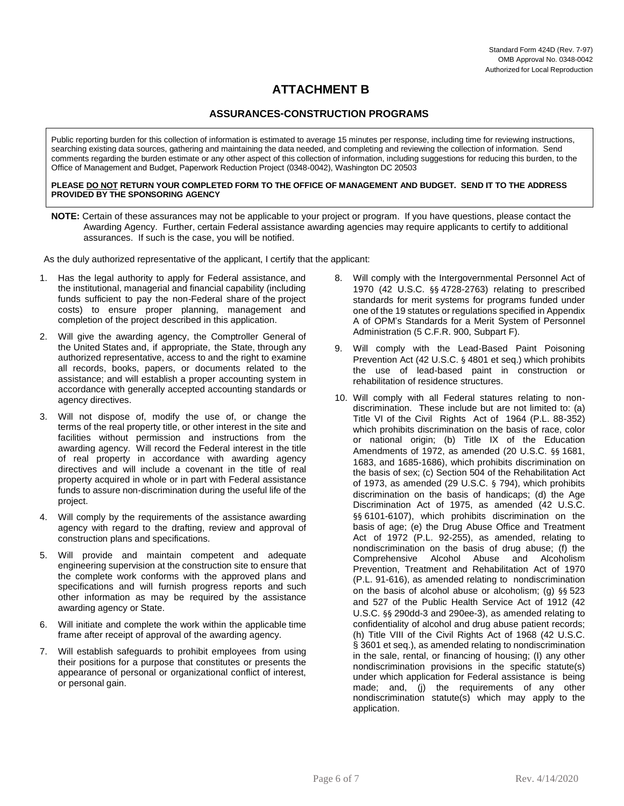### **ATTACHMENT B**

#### **ASSURANCES-CONSTRUCTION PROGRAMS**

Public reporting burden for this collection of information is estimated to average 15 minutes per response, including time for reviewing instructions, searching existing data sources, gathering and maintaining the data needed, and completing and reviewing the collection of information. Send comments regarding the burden estimate or any other aspect of this collection of information, including suggestions for reducing this burden, to the Office of Management and Budget, Paperwork Reduction Project (0348-0042), Washington DC 20503

#### **PLEASE DO NOT RETURN YOUR COMPLETED FORM TO THE OFFICE OF MANAGEMENT AND BUDGET. SEND IT TO THE ADDRESS PROVIDED BY THE SPONSORING AGENCY**

**NOTE:** Certain of these assurances may not be applicable to your project or program. If you have questions, please contact the Awarding Agency. Further, certain Federal assistance awarding agencies may require applicants to certify to additional assurances. If such is the case, you will be notified.

As the duly authorized representative of the applicant, I certify that the applicant:

- 1. Has the legal authority to apply for Federal assistance, and the institutional, managerial and financial capability (including funds sufficient to pay the non-Federal share of the project costs) to ensure proper planning, management and completion of the project described in this application.
- 2. Will give the awarding agency, the Comptroller General of the United States and, if appropriate, the State, through any authorized representative, access to and the right to examine all records, books, papers, or documents related to the assistance; and will establish a proper accounting system in accordance with generally accepted accounting standards or agency directives.
- 3. Will not dispose of, modify the use of, or change the terms of the real property title, or other interest in the site and facilities without permission and instructions from the awarding agency. Will record the Federal interest in the title of real property in accordance with awarding agency directives and will include a covenant in the title of real property acquired in whole or in part with Federal assistance funds to assure non-discrimination during the useful life of the project.
- 4. Will comply by the requirements of the assistance awarding agency with regard to the drafting, review and approval of construction plans and specifications.
- 5. Will provide and maintain competent and adequate engineering supervision at the construction site to ensure that the complete work conforms with the approved plans and specifications and will furnish progress reports and such other information as may be required by the assistance awarding agency or State.
- 6. Will initiate and complete the work within the applicable time frame after receipt of approval of the awarding agency.
- 7. Will establish safeguards to prohibit employees from using their positions for a purpose that constitutes or presents the appearance of personal or organizational conflict of interest, or personal gain.
- 8. Will comply with the Intergovernmental Personnel Act of 1970 (42 U.S.C. §§ 4728-2763) relating to prescribed standards for merit systems for programs funded under one of the 19 statutes or regulations specified in Appendix A of OPM's Standards for a Merit System of Personnel Administration (5 C.F.R. 900, Subpart F).
- 9. Will comply with the Lead-Based Paint Poisoning Prevention Act (42 U.S.C. § 4801 et seq.) which prohibits the use of lead-based paint in construction or rehabilitation of residence structures.
- 10. Will comply with all Federal statures relating to nondiscrimination. These include but are not limited to: (a) Title VI of the Civil Rights Act of 1964 (P.L. 88-352) which prohibits discrimination on the basis of race, color or national origin; (b) Title IX of the Education Amendments of 1972, as amended (20 U.S.C. §§ 1681, 1683, and 1685-1686), which prohibits discrimination on the basis of sex; (c) Section 504 of the Rehabilitation Act of 1973, as amended (29 U.S.C. § 794), which prohibits discrimination on the basis of handicaps; (d) the Age Discrimination Act of 1975, as amended (42 U.S.C. §§ 6101-6107), which prohibits discrimination on the basis of age; (e) the Drug Abuse Office and Treatment Act of 1972 (P.L. 92-255), as amended, relating to nondiscrimination on the basis of drug abuse; (f) the Comprehensive Alcohol Abuse and Alcoholism Prevention, Treatment and Rehabilitation Act of 1970 (P.L. 91-616), as amended relating to nondiscrimination on the basis of alcohol abuse or alcoholism; (g) §§ 523 and 527 of the Public Health Service Act of 1912 (42 U.S.C. §§ 290dd-3 and 290ee-3), as amended relating to confidentiality of alcohol and drug abuse patient records; (h) Title VIII of the Civil Rights Act of 1968 (42 U.S.C. § 3601 et seq.), as amended relating to nondiscrimination in the sale, rental, or financing of housing; (I) any other nondiscrimination provisions in the specific statute(s) under which application for Federal assistance is being made; and, (j) the requirements of any other nondiscrimination statute(s) which may apply to the application.